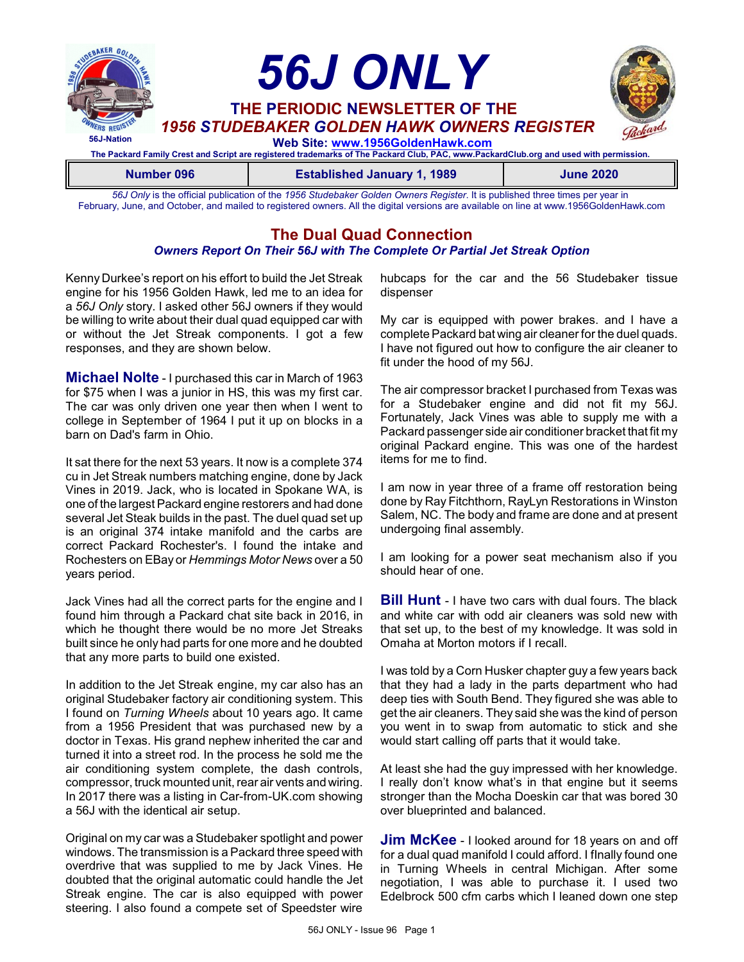

*56J Only* is the official publication of the *1956 Studebaker Golden Owners Register*. It is published three times per year in February, June, and October, and mailed to registered owners. All the digital versions are available on line at www.1956GoldenHawk.com

# **The Dual Quad Connection**

#### *Owners Report On Their 56J with The Complete Or Partial Jet Streak Option*

Kenny Durkee's report on his effort to build the Jet Streak engine for his 1956 Golden Hawk, led me to an idea for a *56J Only* story. I asked other 56J owners if they would be willing to write about their dual quad equipped car with or without the Jet Streak components. I got a few responses, and they are shown below.

**Michael Nolte** - I purchased this car in March of 1963 for \$75 when I was a junior in HS, this was my first car. The car was only driven one year then when I went to college in September of 1964 I put it up on blocks in a barn on Dad's farm in Ohio.

It sat there for the next 53 years. It now is a complete 374 cu in Jet Streak numbers matching engine, done by Jack Vines in 2019. Jack, who is located in Spokane WA, is one of the largest Packard engine restorers and had done several Jet Steak builds in the past. The duel quad set up is an original 374 intake manifold and the carbs are correct Packard Rochester's. I found the intake and Rochesters on EBay or *Hemmings Motor News* over a 50 years period.

Jack Vines had all the correct parts for the engine and I found him through a Packard chat site back in 2016, in which he thought there would be no more Jet Streaks built since he only had parts for one more and he doubted that any more parts to build one existed.

In addition to the Jet Streak engine, my car also has an original Studebaker factory air conditioning system. This I found on *Turning Wheels* about 10 years ago. It came from a 1956 President that was purchased new by a doctor in Texas. His grand nephew inherited the car and turned it into a street rod. In the process he sold me the air conditioning system complete, the dash controls, compressor, truck mounted unit, rear air vents and wiring. In 2017 there was a listing in Car-from-UK.com showing a 56J with the identical air setup.

Original on my car was a Studebaker spotlight and power windows. The transmission is a Packard three speed with overdrive that was supplied to me by Jack Vines. He doubted that the original automatic could handle the Jet Streak engine. The car is also equipped with power steering. I also found a compete set of Speedster wire hubcaps for the car and the 56 Studebaker tissue dispenser

My car is equipped with power brakes. and I have a complete Packard bat wing air cleaner for the duel quads. I have not figured out how to configure the air cleaner to fit under the hood of my 56J.

The air compressor bracket I purchased from Texas was for a Studebaker engine and did not fit my 56J. Fortunately, Jack Vines was able to supply me with a Packard passenger side air conditioner bracket that fit my original Packard engine. This was one of the hardest items for me to find.

I am now in year three of a frame off restoration being done by Ray Fitchthorn, RayLyn Restorations in Winston Salem, NC. The body and frame are done and at present undergoing final assembly.

I am looking for a power seat mechanism also if you should hear of one.

**Bill Hunt** - I have two cars with dual fours. The black and white car with odd air cleaners was sold new with that set up, to the best of my knowledge. It was sold in Omaha at Morton motors if I recall.

I was told by a Corn Husker chapter guy a few years back that they had a lady in the parts department who had deep ties with South Bend. They figured she was able to get the air cleaners. They said she was the kind of person you went in to swap from automatic to stick and she would start calling off parts that it would take.

At least she had the guy impressed with her knowledge. I really don't know what's in that engine but it seems stronger than the Mocha Doeskin car that was bored 30 over blueprinted and balanced.

**Jim McKee** - I looked around for 18 years on and off for a dual quad manifold I could afford. I fInally found one in Turning Wheels in central Michigan. After some negotiation, I was able to purchase it. I used two Edelbrock 500 cfm carbs which I leaned down one step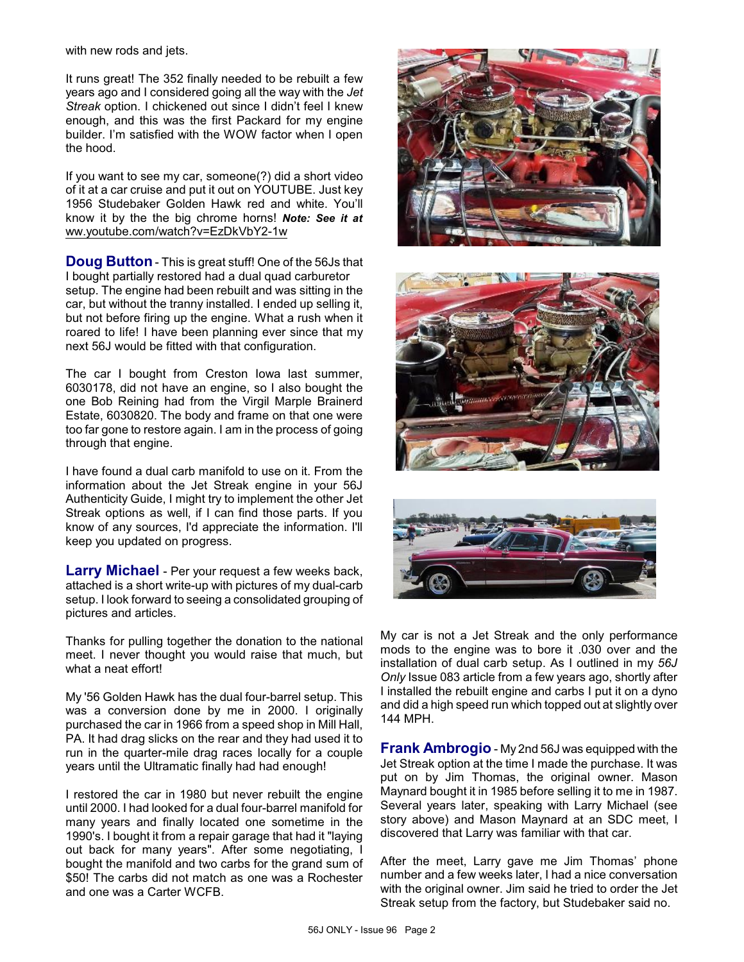with new rods and jets.

It runs great! The 352 finally needed to be rebuilt a few years ago and I considered going all the way with the *Jet Streak* option. I chickened out since I didn't feel I knew enough, and this was the first Packard for my engine builder. I'm satisfied with the WOW factor when I open the hood.

If you want to see my car, someone(?) did a short video of it at a car cruise and put it out on YOUTUBE. Just key 1956 Studebaker Golden Hawk red and white. You'll know it by the the big chrome horns! *Note: See it at* [ww.youtube.com/watch?v=EzDkVbY2-1w](http://www.youtube.com/watch?v=EzDkVbY2-1w)

**Doug Button**- This is great stuff! One of the 56Js that I bought partially restored had a dual quad carburetor setup. The engine had been rebuilt and was sitting in the car, but without the tranny installed. I ended up selling it, but not before firing up the engine. What a rush when it roared to life! I have been planning ever since that my next 56J would be fitted with that configuration.

The car I bought from Creston Iowa last summer, 6030178, did not have an engine, so I also bought the one Bob Reining had from the Virgil Marple Brainerd Estate, 6030820. The body and frame on that one were too far gone to restore again. I am in the process of going through that engine.

I have found a dual carb manifold to use on it. From the information about the Jet Streak engine in your 56J Authenticity Guide, I might try to implement the other Jet Streak options as well, if I can find those parts. If you know of any sources, I'd appreciate the information. I'll keep you updated on progress.

**Larry Michael** - Per your request a few weeks back, attached is a short write-up with pictures of my dual-carb setup. I look forward to seeing a consolidated grouping of pictures and articles.

Thanks for pulling together the donation to the national meet. I never thought you would raise that much, but what a neat effort!

My '56 Golden Hawk has the dual four-barrel setup. This was a conversion done by me in 2000. I originally purchased the car in 1966 from a speed shop in Mill Hall, PA. It had drag slicks on the rear and they had used it to run in the quarter-mile drag races locally for a couple years until the Ultramatic finally had had enough!

I restored the car in 1980 but never rebuilt the engine until 2000. I had looked for a dual four-barrel manifold for many years and finally located one sometime in the 1990's. I bought it from a repair garage that had it "laying out back for many years". After some negotiating, I bought the manifold and two carbs for the grand sum of \$50! The carbs did not match as one was a Rochester and one was a Carter WCFB.







My car is not a Jet Streak and the only performance mods to the engine was to bore it .030 over and the installation of dual carb setup. As I outlined in my *56J Only* Issue 083 article from a few years ago, shortly after I installed the rebuilt engine and carbs I put it on a dyno and did a high speed run which topped out at slightly over 144 MPH.

**Frank Ambrogio** - My 2nd 56J was equipped with the Jet Streak option at the time I made the purchase. It was put on by Jim Thomas, the original owner. Mason Maynard bought it in 1985 before selling it to me in 1987. Several years later, speaking with Larry Michael (see story above) and Mason Maynard at an SDC meet, I discovered that Larry was familiar with that car.

After the meet, Larry gave me Jim Thomas' phone number and a few weeks later, I had a nice conversation with the original owner. Jim said he tried to order the Jet Streak setup from the factory, but Studebaker said no.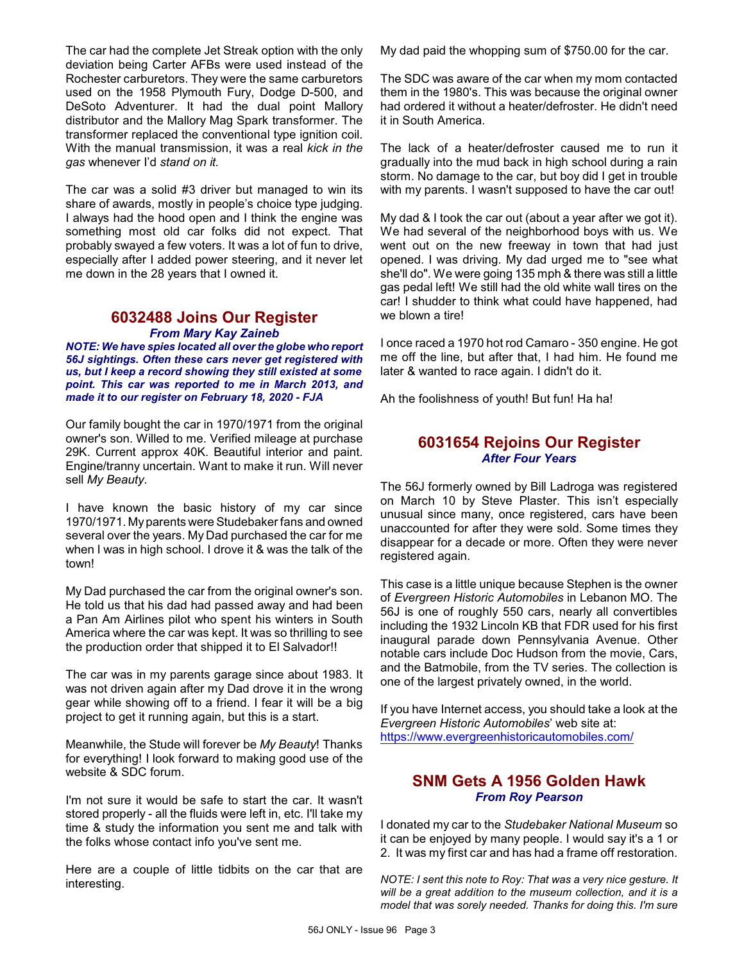The car had the complete Jet Streak option with the only deviation being Carter AFBs were used instead of the Rochester carburetors. They were the same carburetors used on the 1958 Plymouth Fury, Dodge D-500, and DeSoto Adventurer. It had the dual point Mallory distributor and the Mallory Mag Spark transformer. The transformer replaced the conventional type ignition coil. With the manual transmission, it was a real *kick in the gas* whenever I'd *stand on it.*

The car was a solid #3 driver but managed to win its share of awards, mostly in people's choice type judging. I always had the hood open and I think the engine was something most old car folks did not expect. That probably swayed a few voters. It was a lot of fun to drive, especially after I added power steering, and it never let me down in the 28 years that I owned it.

## **6032488 Joins Our Register** *From Mary Kay Zaineb*

*NOTE: We have spies located all over the globe who report 56J sightings. Often these cars never get registered with us, but I keep a record showing they still existed at some point. This car was reported to me in March 2013, and made it to our register on February 18, 2020 - FJA*

Our family bought the car in 1970/1971 from the original owner's son. Willed to me. Verified mileage at purchase 29K. Current approx 40K. Beautiful interior and paint. Engine/tranny uncertain. Want to make it run. Will never sell *My Beauty*.

I have known the basic history of my car since 1970/1971. Myparents were Studebaker fans and owned several over the years. My Dad purchased the car for me when I was in high school. I drove it & was the talk of the town!

My Dad purchased the car from the original owner's son. He told us that his dad had passed away and had been a Pan Am Airlines pilot who spent his winters in South America where the car was kept. It was so thrilling to see the production order that shipped it to El Salvador!!

The car was in my parents garage since about 1983. It was not driven again after my Dad drove it in the wrong gear while showing off to a friend. I fear it will be a big project to get it running again, but this is a start.

Meanwhile, the Stude will forever be *My Beauty*! Thanks for everything! I look forward to making good use of the website & SDC forum.

I'm not sure it would be safe to start the car. It wasn't stored properly - all the fluids were left in, etc. I'll take my time & study the information you sent me and talk with the folks whose contact info you've sent me.

Here are a couple of little tidbits on the car that are interesting.

My dad paid the whopping sum of \$750.00 for the car.

The SDC was aware of the car when my mom contacted them in the 1980's. This was because the original owner had ordered it without a heater/defroster. He didn't need it in South America.

The lack of a heater/defroster caused me to run it gradually into the mud back in high school during a rain storm. No damage to the car, but boy did I get in trouble with my parents. I wasn't supposed to have the car out!

My dad & I took the car out (about a year after we got it). We had several of the neighborhood boys with us. We went out on the new freeway in town that had just opened. I was driving. My dad urged me to "see what she'll do". We were going 135 mph & there was still a little gas pedal left! We still had the old white wall tires on the car! I shudder to think what could have happened, had we blown a tire!

I once raced a 1970 hot rod Camaro - 350 engine. He got me off the line, but after that, I had him. He found me later & wanted to race again. I didn't do it.

Ah the foolishness of youth! But fun! Ha ha!

# **6031654 Rejoins Our Register** *After Four Years*

The 56J formerly owned by Bill Ladroga was registered on March 10 by Steve Plaster. This isn't especially unusual since many, once registered, cars have been unaccounted for after they were sold. Some times they disappear for a decade or more. Often they were never registered again.

This case is a little unique because Stephen is the owner of *Evergreen Historic Automobiles* in Lebanon MO. The 56J is one of roughly 550 cars, nearly all convertibles including the 1932 Lincoln KB that FDR used for his first inaugural parade down Pennsylvania Avenue. Other notable cars include Doc Hudson from the movie, Cars, and the Batmobile, from the TV series. The collection is one of the largest privately owned, in the world.

If you have Internet access, you should take a look at the *Evergreen Historic Automobiles*' web site at: <https://www.evergreenhistoricautomobiles.com/>

# **SNM Gets A 1956 Golden Hawk** *From Roy Pearson*

I donated my car to the *Studebaker National Museum* so it can be enjoyed by many people. I would say it's a 1 or 2. It was my first car and has had a frame off restoration.

*NOTE: I sent this note to Roy: That was a very nice gesture. It will be a great addition to the museum collection, and it is a model that was sorely needed. Thanks for doing this. I'm sure*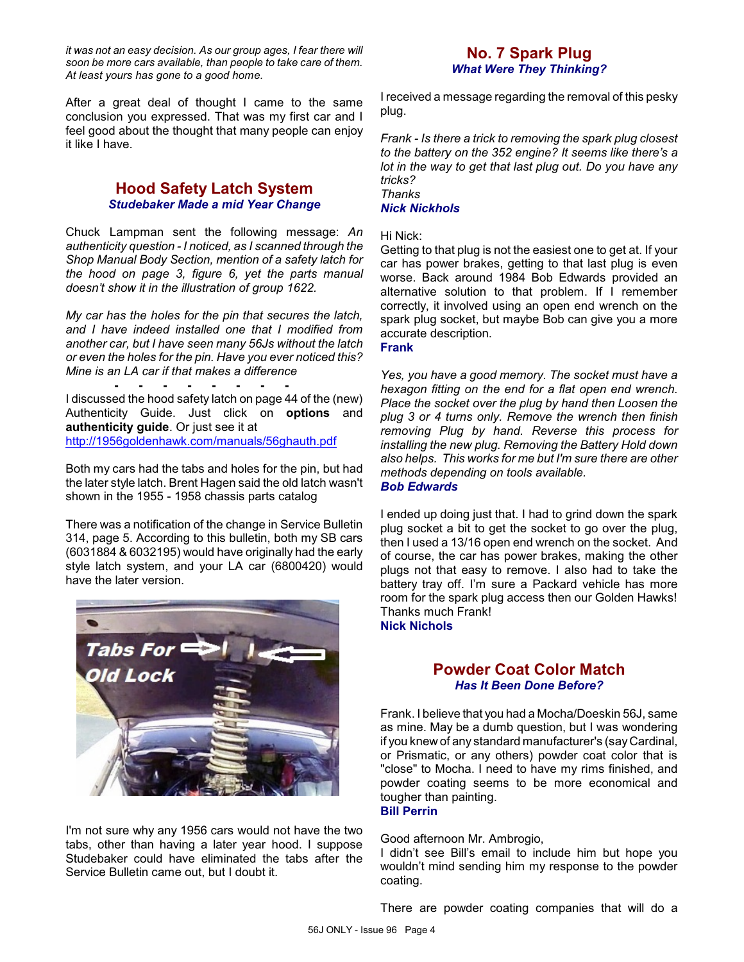*it was not an easy decision. As our group ages, I fear there will soon be more cars available, than people to take care of them. At least yours has gone to a good home.*

After a great deal of thought I came to the same conclusion you expressed. That was my first car and I feel good about the thought that many people can enjoy it like I have.

## **Hood Safety Latch System** *Studebaker Made a mid Year Change*

Chuck Lampman sent the following message: *An authenticity question - I noticed, as I scanned through the Shop Manual Body Section, mention of a safety latch for the hood on page 3, figure 6, yet the parts manual doesn't show it in the illustration of group 1622.* 

*My car has the holes for the pin that secures the latch, and I have indeed installed one that I modified from another car, but I have seen many 56Js without the latch or even the holes for the pin. Have you ever noticed this? Mine is an LA car if that makes a difference*

**- - - - - - - -** I discussed the hood safety latch on page 44 of the (new) Authenticity Guide. Just click on **options** and **authenticity guide**. Or just see it at <http://1956goldenhawk.com/manuals/56ghauth.pdf>

Both my cars had the tabs and holes for the pin, but had the later style latch. Brent Hagen said the old latch wasn't shown in the 1955 - 1958 chassis parts catalog

There was a notification of the change in Service Bulletin 314, page 5. According to this bulletin, both my SB cars (6031884 & 6032195) would have originally had the early style latch system, and your LA car (6800420) would have the later version.



I'm not sure why any 1956 cars would not have the two tabs, other than having a later year hood. I suppose Studebaker could have eliminated the tabs after the Service Bulletin came out, but I doubt it.

# **No. 7 Spark Plug** *What Were They Thinking?*

I received a message regarding the removal of this pesky plug.

*Frank - Is there a trick to removing the spark plug closest to the battery on the 352 engine? It seems like there's a lot in the way to get that last plug out. Do you have any tricks? Thanks*

### *Nick Nickhols*

#### Hi Nick:

Getting to that plug is not the easiest one to get at. If your car has power brakes, getting to that last plug is even worse. Back around 1984 Bob Edwards provided an alternative solution to that problem. If I remember correctly, it involved using an open end wrench on the spark plug socket, but maybe Bob can give you a more accurate description.

## **Frank**

*Yes, you have a good memory. The socket must have a hexagon fitting on the end for a flat open end wrench. Place the socket over the plug by hand then Loosen the plug 3 or 4 turns only. Remove the wrench then finish removing Plug by hand. Reverse this process for installing the new plug. Removing the Battery Hold down also helps. This works for me but I'm sure there are other methods depending on tools available.*

#### *Bob Edwards*

I ended up doing just that. I had to grind down the spark plug socket a bit to get the socket to go over the plug, then I used a 13/16 open end wrench on the socket. And of course, the car has power brakes, making the other plugs not that easy to remove. I also had to take the battery tray off. I'm sure a Packard vehicle has more room for the spark plug access then our Golden Hawks! Thanks much Frank!

#### **Nick Nichols**

# **Powder Coat Color Match** *Has It Been Done Before?*

Frank. I believe that you had a Mocha/Doeskin 56J, same as mine. May be a dumb question, but I was wondering if you knew of any standard manufacturer's (sayCardinal, or Prismatic, or any others) powder coat color that is "close" to Mocha. I need to have my rims finished, and powder coating seems to be more economical and tougher than painting.

#### **Bill Perrin**

#### Good afternoon Mr. Ambrogio,

I didn't see Bill's email to include him but hope you wouldn't mind sending him my response to the powder coating.

There are powder coating companies that will do a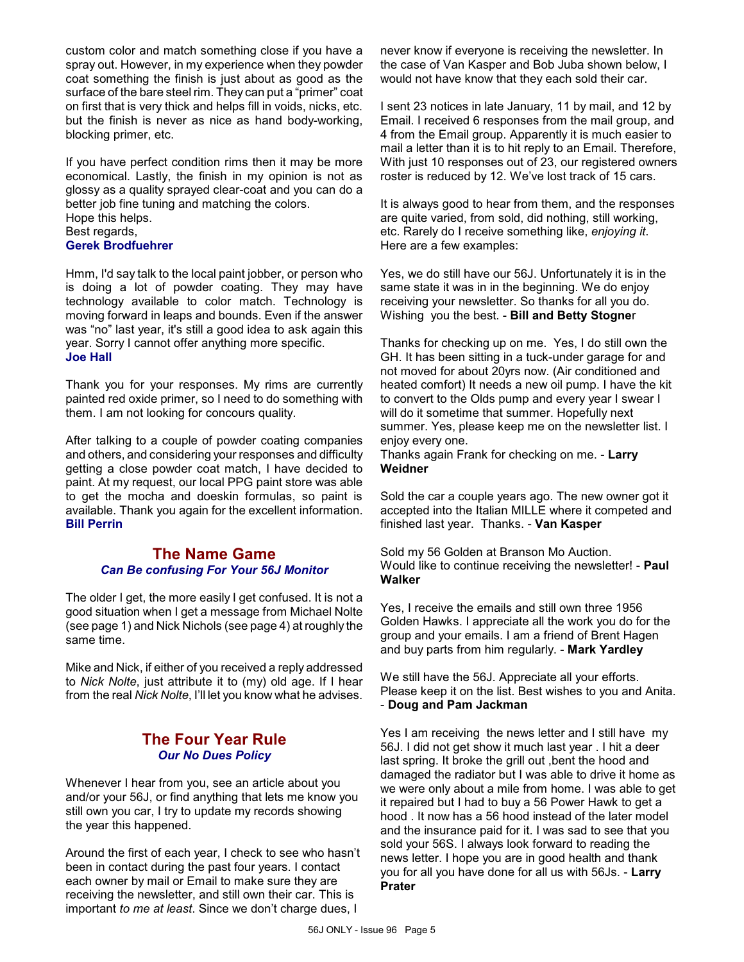custom color and match something close if you have a spray out. However, in my experience when they powder coat something the finish is just about as good as the surface of the bare steel rim. They can put a "primer" coat on first that is very thick and helps fill in voids, nicks, etc. but the finish is never as nice as hand body-working, blocking primer, etc.

If you have perfect condition rims then it may be more economical. Lastly, the finish in my opinion is not as glossy as a quality sprayed clear-coat and you can do a better job fine tuning and matching the colors. Hope this helps. Best regards, **Gerek Brodfuehrer**

Hmm, I'd say talk to the local paint jobber, or person who is doing a lot of powder coating. They may have technology available to color match. Technology is moving forward in leaps and bounds. Even if the answer was "no" last year, it's still a good idea to ask again this year. Sorry I cannot offer anything more specific. **Joe Hall**

Thank you for your responses. My rims are currently painted red oxide primer, so I need to do something with them. I am not looking for concours quality.

After talking to a couple of powder coating companies and others, and considering your responses and difficulty getting a close powder coat match, I have decided to paint. At my request, our local PPG paint store was able to get the mocha and doeskin formulas, so paint is available. Thank you again for the excellent information. **Bill Perrin**

## **The Name Game** *Can Be confusing For Your 56J Monitor*

The older I get, the more easily I get confused. It is not a good situation when I get a message from Michael Nolte (see page 1) and Nick Nichols (see page 4) at roughly the same time.

Mike and Nick, if either of you received a reply addressed to *Nick Nolte*, just attribute it to (my) old age. If I hear from the real *Nick Nolte*, I'll let you know what he advises.

# **The Four Year Rule** *Our No Dues Policy*

Whenever I hear from you, see an article about you and/or your 56J, or find anything that lets me know you still own you car, I try to update my records showing the year this happened.

Around the first of each year, I check to see who hasn't been in contact during the past four years. I contact each owner by mail or Email to make sure they are receiving the newsletter, and still own their car. This is important *to me at least*. Since we don't charge dues, I

never know if everyone is receiving the newsletter. In the case of Van Kasper and Bob Juba shown below, I would not have know that they each sold their car.

I sent 23 notices in late January, 11 by mail, and 12 by Email. I received 6 responses from the mail group, and 4 from the Email group. Apparently it is much easier to mail a letter than it is to hit reply to an Email. Therefore, With just 10 responses out of 23, our registered owners roster is reduced by 12. We've lost track of 15 cars.

It is always good to hear from them, and the responses are quite varied, from sold, did nothing, still working, etc. Rarely do I receive something like, *enjoying it*. Here are a few examples:

Yes, we do still have our 56J. Unfortunately it is in the same state it was in in the beginning. We do enjoy receiving your newsletter. So thanks for all you do. Wishing you the best. - **Bill and Betty Stogne**r

Thanks for checking up on me. Yes, I do still own the GH. It has been sitting in a tuck-under garage for and not moved for about 20yrs now. (Air conditioned and heated comfort) It needs a new oil pump. I have the kit to convert to the Olds pump and every year I swear I will do it sometime that summer. Hopefully next summer. Yes, please keep me on the newsletter list. I enjoy every one.

Thanks again Frank for checking on me. - **Larry Weidner**

Sold the car a couple years ago. The new owner got it accepted into the Italian MILLE where it competed and finished last year. Thanks. - **Van Kasper**

Sold my 56 Golden at Branson Mo Auction. Would like to continue receiving the newsletter! - **Paul Walker**

Yes, I receive the emails and still own three 1956 Golden Hawks. I appreciate all the work you do for the group and your emails. I am a friend of Brent Hagen and buy parts from him regularly. - **Mark Yardley**

We still have the 56J. Appreciate all your efforts. Please keep it on the list. Best wishes to you and Anita. - **Doug and Pam Jackman**

Yes I am receiving the news letter and I still have my 56J. I did not get show it much last year . I hit a deer last spring. It broke the grill out ,bent the hood and damaged the radiator but I was able to drive it home as we were only about a mile from home. I was able to get it repaired but I had to buy a 56 Power Hawk to get a hood . It now has a 56 hood instead of the later model and the insurance paid for it. I was sad to see that you sold your 56S. I always look forward to reading the news letter. I hope you are in good health and thank you for all you have done for all us with 56Js. - **Larry Prater**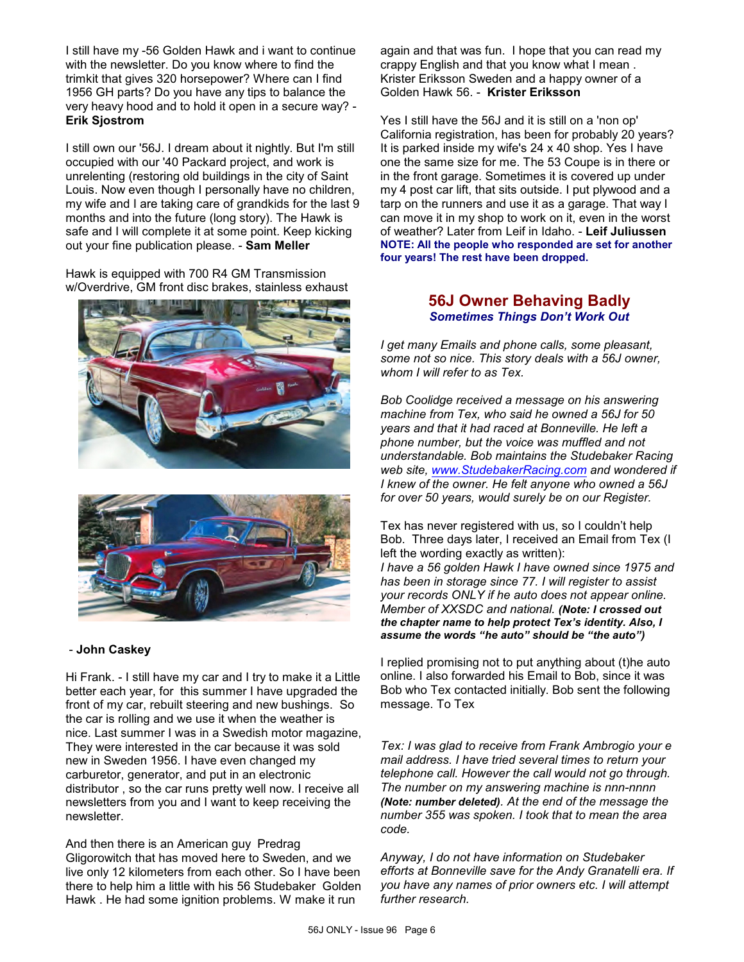I still have my -56 Golden Hawk and i want to continue with the newsletter. Do you know where to find the trimkit that gives 320 horsepower? Where can I find 1956 GH parts? Do you have any tips to balance the very heavy hood and to hold it open in a secure way? - **Erik Sjostrom**

I still own our '56J. I dream about it nightly. But I'm still occupied with our '40 Packard project, and work is unrelenting (restoring old buildings in the city of Saint Louis. Now even though I personally have no children, my wife and I are taking care of grandkids for the last 9 months and into the future (long story). The Hawk is safe and I will complete it at some point. Keep kicking out your fine publication please. - **Sam Meller**

Hawk is equipped with 700 R4 GM Transmission w/Overdrive, GM front disc brakes, stainless exhaust





#### - **John Caskey**

Hi Frank. - I still have my car and I try to make it a Little better each year, for this summer I have upgraded the front of my car, rebuilt steering and new bushings. So the car is rolling and we use it when the weather is nice. Last summer I was in a Swedish motor magazine, They were interested in the car because it was sold new in Sweden 1956. I have even changed my carburetor, generator, and put in an electronic distributor , so the car runs pretty well now. I receive all newsletters from you and I want to keep receiving the newsletter.

And then there is an American guy Predrag Gligorowitch that has moved here to Sweden, and we live only 12 kilometers from each other. So I have been there to help him a little with his 56 Studebaker Golden Hawk . He had some ignition problems. W make it run

again and that was fun. I hope that you can read my crappy English and that you know what I mean . Krister Eriksson Sweden and a happy owner of a Golden Hawk 56. - **Krister Eriksson**

Yes I still have the 56J and it is still on a 'non op' California registration, has been for probably 20 years? It is parked inside my wife's 24 x 40 shop. Yes I have one the same size for me. The 53 Coupe is in there or in the front garage. Sometimes it is covered up under my 4 post car lift, that sits outside. I put plywood and a tarp on the runners and use it as a garage. That way I can move it in my shop to work on it, even in the worst of weather? Later from Leif in Idaho. - **Leif Juliussen NOTE: All the people who responded are set for another four years! The rest have been dropped.**

# **56J Owner Behaving Badly** *Sometimes Things Don't Work Out*

*I get many Emails and phone calls, some pleasant, some not so nice. This story deals with a 56J owner, whom I will refer to as Tex.*

*Bob Coolidge received a message on his answering machine from Tex, who said he owned a 56J for 50 years and that it had raced at Bonneville. He left a phone number, but the voice was muffled and not understandable. Bob maintains the Studebaker Racing web site, [www.StudebakerRacing.com](http://www.StudebakerRacing.com) and wondered if I knew of the owner. He felt anyone who owned a 56J for over 50 years, would surely be on our Register.*

Tex has never registered with us, so I couldn't help Bob. Three days later, I received an Email from Tex (I left the wording exactly as written):

*I have a 56 golden Hawk I have owned since 1975 and has been in storage since 77. I will register to assist your records ONLY if he auto does not appear online. Member of XXSDC and national. (Note: I crossed out the chapter name to help protect Tex's identity. Also, I assume the words "he auto" should be "the auto")*

I replied promising not to put anything about (t)he auto online. I also forwarded his Email to Bob, since it was Bob who Tex contacted initially. Bob sent the following message. To Tex

*Tex: I was glad to receive from Frank Ambrogio your e mail address. I have tried several times to return your telephone call. However the call would not go through. The number on my answering machine is nnn-nnnn (Note: number deleted). At the end of the message the number 355 was spoken. I took that to mean the area code.* 

*Anyway, I do not have information on Studebaker efforts at Bonneville save for the Andy Granatelli era. If you have any names of prior owners etc. I will attempt further research.*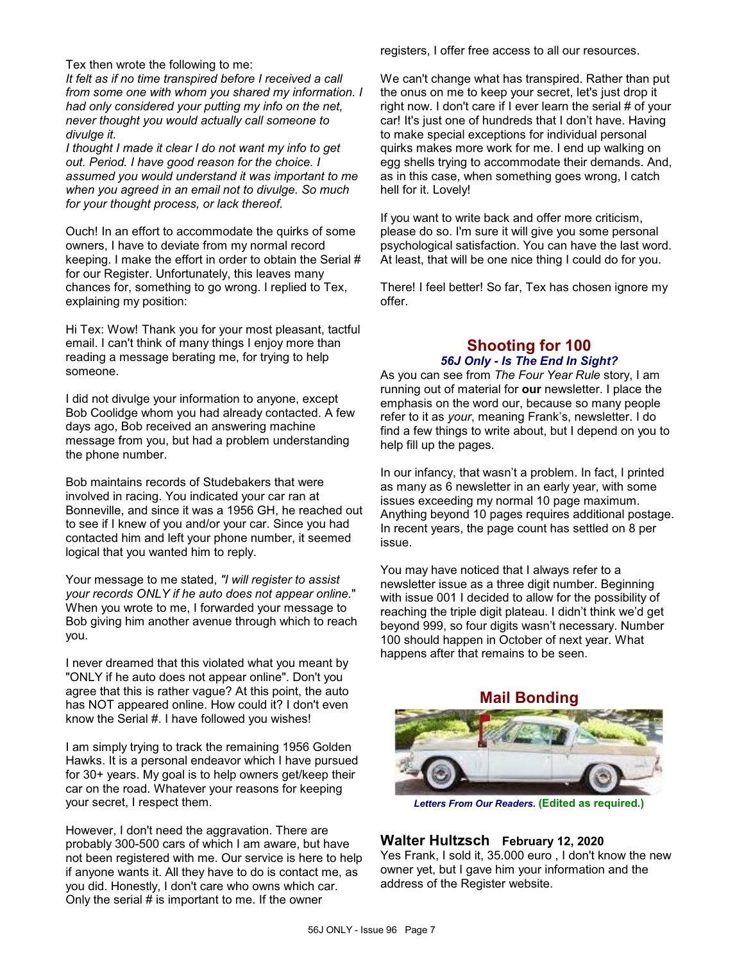Tex then wrote the following to me:

*It felt as if no time transpired before I received a call from some one with whom you shared my information. I had only considered your putting my info on the net, never thought you would actually call someone to divulge it.* 

*I thought I made it clear I do not want my info to get out. Period. I have good reason for the choice. I assumed you would understand it was important to me when you agreed in an email not to divulge. So much for your thought process, or lack thereof.*

Ouch! In an effort to accommodate the quirks of some owners, I have to deviate from my normal record keeping. I make the effort in order to obtain the Serial # for our Register. Unfortunately, this leaves many chances for, something to go wrong. I replied to Tex, explaining my position:

Hi Tex: Wow! Thank you for your most pleasant, tactful email. I can't think of many things I enjoy more than reading a message berating me, for trying to help someone.

I did not divulge your information to anyone, except Bob Coolidge whom you had already contacted. A few days ago, Bob received an answering machine message from you, but had a problem understanding the phone number.

Bob maintains records of Studebakers that were involved in racing. You indicated your car ran at Bonneville, and since it was a 1956 GH, he reached out to see if I knew of you and/or your car. Since you had contacted him and left your phone number, it seemed logical that you wanted him to reply.

Your message to me stated, *"I will register to assist your records ONLY if he auto does not appear online.*" When you wrote to me, I forwarded your message to Bob giving him another avenue through which to reach you.

I never dreamed that this violated what you meant by "ONLY if he auto does not appear online". Don't you agree that this is rather vague? At this point, the auto has NOT appeared online. How could it? I don't even know the Serial #. I have followed you wishes!

I am simply trying to track the remaining 1956 Golden Hawks. It is a personal endeavor which I have pursued for 30+ years. My goal is to help owners get/keep their car on the road. Whatever your reasons for keeping your secret, I respect them.

However, I don't need the aggravation. There are probably 300-500 cars of which I am aware, but have not been registered with me. Our service is here to help if anyone wants it. All they have to do is contact me, as you did. Honestly, I don't care who owns which car. Only the serial  $#$  is important to me. If the owner

registers, I offer free access to all our resources.

We can't change what has transpired. Rather than put the onus on me to keep your secret, let's just drop it right now. I don't care if I ever learn the serial # of your car! It's just one of hundreds that I don't have. Having to make special exceptions for individual personal quirks makes more work for me. I end up walking on egg shells trying to accommodate their demands. And, as in this case, when something goes wrong, I catch hell for it. Lovely!

If you want to write back and offer more criticism, please do so. I'm sure it will give you some personal psychological satisfaction. You can have the last word. At least, that will be one nice thing I could do for you.

There! I feel better! So far, Tex has chosen ignore my offer.

# **Shooting for 100** *56J Only - Is The End In Sight?*

As you can see from *The Four Year Rule* story, I am running out of material for **our** newsletter. I place the emphasis on the word our, because so many people refer to it as *your*, meaning Frank's, newsletter. I do find a few things to write about, but I depend on you to help fill up the pages.

In our infancy, that wasn't a problem. In fact, I printed as many as 6 newsletter in an early year, with some issues exceeding my normal 10 page maximum. Anything beyond 10 pages requires additional postage. In recent years, the page count has settled on 8 per issue.

You may have noticed that I always refer to a newsletter issue as a three digit number. Beginning with issue 001 I decided to allow for the possibility of reaching the triple digit plateau. I didn't think we'd get beyond 999, so four digits wasn't necessary. Number 100 should happen in October of next year. What happens after that remains to be seen.

**Mail Bonding**



*Letters From Our Readers.* **(Edited as required.)**

# **Walter Hultzsch February 12, 2020**

Yes Frank, I sold it, 35.000 euro , I don't know the new owner yet, but I gave him your information and the address of the Register website.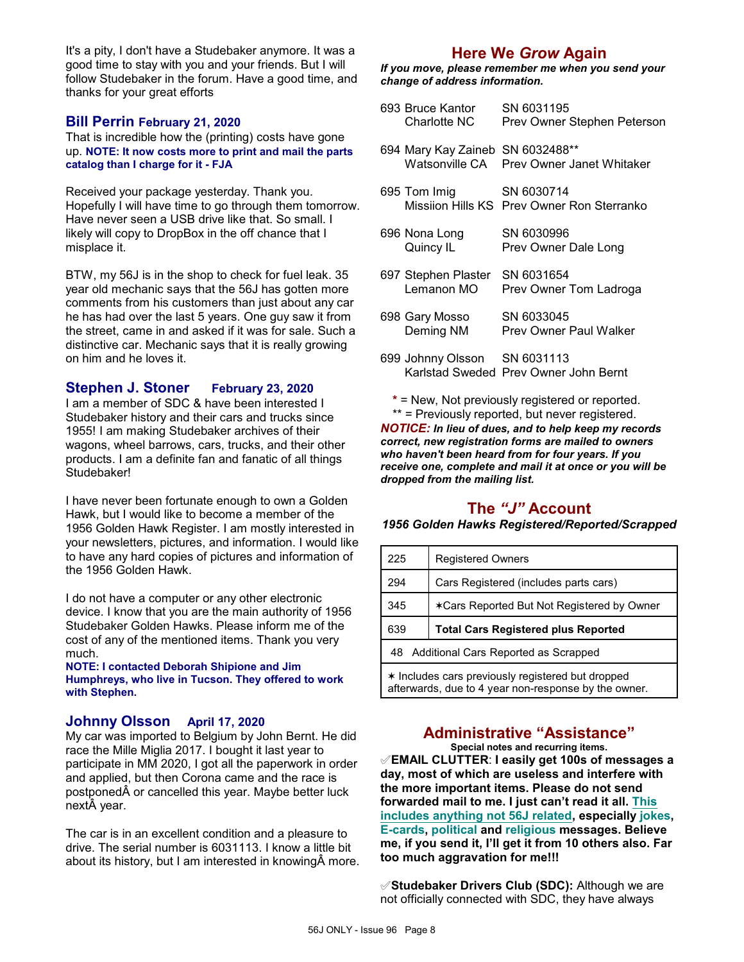It's a pity, I don't have a Studebaker anymore. It was a good time to stay with you and your friends. But I will follow Studebaker in the forum. Have a good time, and thanks for your great efforts

### **Bill Perrin February 21, 2020**

That is incredible how the (printing) costs have gone up. **NOTE: It now costs more to print and mail the parts catalog than I charge for it - FJA**

Received your package yesterday. Thank you. Hopefully I will have time to go through them tomorrow. Have never seen a USB drive like that. So small. I likely will copy to DropBox in the off chance that I misplace it.

BTW, my 56J is in the shop to check for fuel leak. 35 year old mechanic says that the 56J has gotten more comments from his customers than just about any car he has had over the last 5 years. One guy saw it from the street, came in and asked if it was for sale. Such a distinctive car. Mechanic says that it is really growing on him and he loves it.

## **Stephen J. Stoner February 23, 2020**

I am a member of SDC & have been interested I Studebaker history and their cars and trucks since 1955! I am making Studebaker archives of their wagons, wheel barrows, cars, trucks, and their other products. I am a definite fan and fanatic of all things Studebaker!

I have never been fortunate enough to own a Golden Hawk, but I would like to become a member of the 1956 Golden Hawk Register. I am mostly interested in your newsletters, pictures, and information. I would like to have any hard copies of pictures and information of the 1956 Golden Hawk.

I do not have a computer or any other electronic device. I know that you are the main authority of 1956 Studebaker Golden Hawks. Please inform me of the cost of any of the mentioned items. Thank you very much.

**NOTE: I contacted Deborah Shipione and Jim Humphreys, who live in Tucson. They offered to work with Stephen.**

## **Johnny Olsson April 17, 2020**

My car was imported to Belgium by John Bernt. He did race the Mille Miglia 2017. I bought it last year to participate in MM 2020, I got all the paperwork in order and applied, but then Corona came and the race is postponed  $\hat{A}$  or cancelled this year. Maybe better luck next year.

The car is in an excellent condition and a pleasure to drive. The serial number is 6031113. I know a little bit about its history, but I am interested in knowing more.

# **Here We** *Grow* **Again**

*If you move, please remember me when you send your change of address information.*

| 693 Bruce Kantor<br>Charlotte NC      | SN 6031195<br>Prev Owner Stephen Peterson                |
|---------------------------------------|----------------------------------------------------------|
| 694 Mary Kay Zaineb<br>Watsonville CA | SN 6032488**<br>Prev Owner Janet Whitaker                |
| 695 Tom Imig                          | SN 6030714<br>Missiion Hills KS Prev Owner Ron Sterranko |
| 696 Nona Long<br>Quincy IL            | SN 6030996<br>Prev Owner Dale Long                       |
| 697 Stephen Plaster<br>Lemanon MO     | SN 6031654<br>Prev Owner Tom Ladroga                     |
| 698 Gary Mosso<br>Deming NM           | SN 6033045<br><b>Prev Owner Paul Walker</b>              |
| 699 Johnny Olsson SN 6031113          | Karlstad Sweded Prev Owner John Bernt                    |

**\*** = New, Not previously registered or reported. \*\* = Previously reported, but never registered. *NOTICE: In lieu of dues, and to help keep my records correct, new registration forms are mailed to owners who haven't been heard from for four years. If you receive one, complete and mail it at once or you will be dropped from the mailing list.*

# **The** *"J"* **Account**

*1956 Golden Hawks Registered/Reported/Scrapped*

| 225 | <b>Registered Owners</b>                   |
|-----|--------------------------------------------|
| 294 | Cars Registered (includes parts cars)      |
| 345 | *Cars Reported But Not Registered by Owner |
|     |                                            |
| 639 | <b>Total Cars Registered plus Reported</b> |
|     | 48 Additional Cars Reported as Scrapped    |

# **Administrative "Assistance"**

**Special notes and recurring items.**

°**EMAIL CLUTTER**: **I easily get 100s of messages a day, most of which are useless and interfere with the more important items. Please do not send forwarded mail to me. I just can't read it all. This includes anything not 56J related, especially jokes, E-cards, political and religious messages. Believe me, if you send it, I'll get it from 10 others also. Far too much aggravation for me!!!**

°**Studebaker Drivers Club (SDC):** Although we are not officially connected with SDC, they have always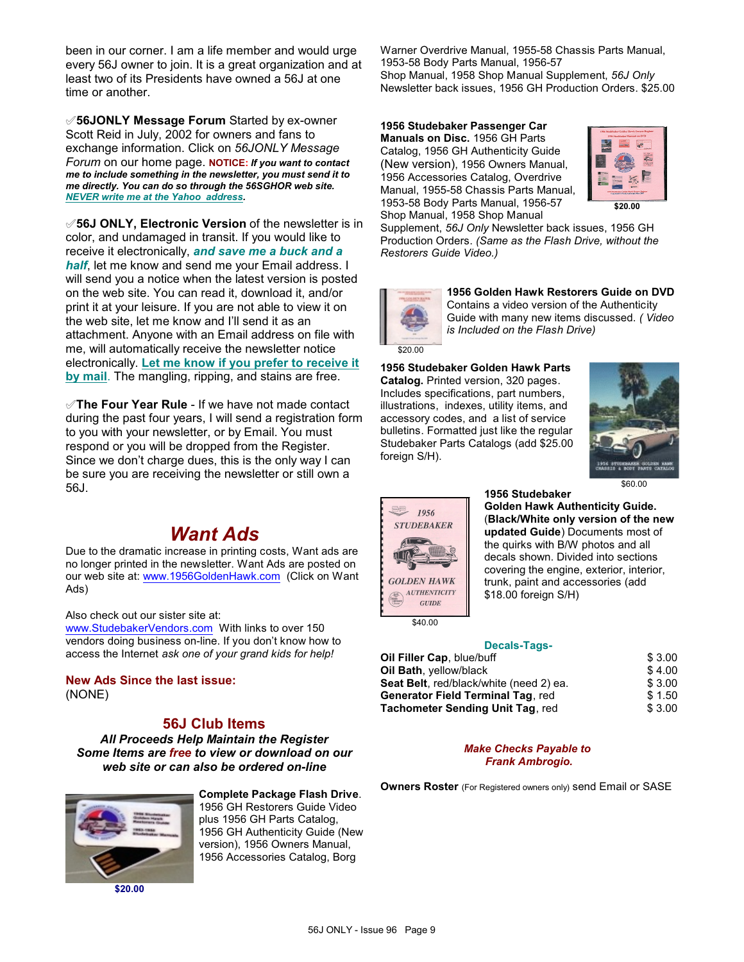been in our corner. I am a life member and would urge every 56J owner to join. It is a great organization and at least two of its Presidents have owned a 56J at one time or another.

°**56JONLY Message Forum** Started by ex-owner Scott Reid in July, 2002 for owners and fans to exchange information. Click on *56JONLY Message Forum* on our home page. **NOTICE:** *If you want to contact me to include something in the newsletter, you must send it to me directly. You can do so through the 56SGHOR web site. NEVER write me at the Yahoo address.*

°**56J ONLY, Electronic Version** of the newsletter is in color, and undamaged in transit. If you would like to receive it electronically, *and save me a buck and a* **half**, let me know and send me your Email address. I will send you a notice when the latest version is posted on the web site. You can read it, download it, and/or print it at your leisure. If you are not able to view it on the web site, let me know and I'll send it as an attachment. Anyone with an Email address on file with me, will automatically receive the newsletter notice electronically. **Let me know if you prefer to receive it by mail**. The mangling, ripping, and stains are free.

°**The Four Year Rule** - If we have not made contact during the past four years, I will send a registration form to you with your newsletter, or by Email. You must respond or you will be dropped from the Register. Since we don't charge dues, this is the only way I can be sure you are receiving the newsletter or still own a 56J.

# *Want Ads*

Due to the dramatic increase in printing costs, Want ads are no longer printed in the newsletter. Want Ads are posted on our web site at: [www.1956GoldenHawk.com](http://www.1956GoldenHawk.com) (Click on Want Ads)

Also check out our sister site at:

[www.StudebakerVendors.com](http://www.StudebakerVendors.com) With links to over 150 vendors doing business on-line. If you don't know how to access the Internet *ask one of your grand kids for help!*

**New Ads Since the last issue:** (NONE)

# **56J Club Items**

*All Proceeds Help Maintain the Register Some Items are free to view or download on our web site or can also be ordered on-line*



**\$20.00**

**Complete Package Flash Drive**. 1956 GH Restorers Guide Video plus 1956 GH Parts Catalog, 1956 GH Authenticity Guide (New version), 1956 Owners Manual, 1956 Accessories Catalog, Borg

Warner Overdrive Manual, 1955-58 Chassis Parts Manual, 1953-58 Body Parts Manual, 1956-57 Shop Manual, 1958 Shop Manual Supplement, *56J Only* Newsletter back issues, 1956 GH Production Orders. \$25.00

**1956 Studebaker Passenger Car Manuals on Disc.** 1956 GH Parts Catalog, 1956 GH Authenticity Guide (New version), 1956 Owners Manual, 1956 Accessories Catalog, Overdrive Manual, 1955-58 Chassis Parts Manual, 1953-58 Body Parts Manual, 1956-57 Shop Manual, 1958 Shop Manual



Supplement, *56J Only* Newsletter back issues, 1956 GH Production Orders. *(Same as the Flash Drive, without the Restorers Guide Video.)*



**1956 Golden Hawk Restorers Guide on DVD** Contains a video version of the Authenticity Guide with many new items discussed. *( Video is Included on the Flash Drive)*

**1956 Studebaker Golden Hawk Parts**

**Catalog.** Printed version, 320 pages. Includes specifications, part numbers, illustrations, indexes, utility items, and accessory codes, and a list of service bulletins. Formatted just like the regular Studebaker Parts Catalogs (add \$25.00 foreign S/H).





\$40.00

**1956 Studebaker Golden Hawk Authenticity Guide.** (**Black/White only version of the new updated Guide**) Documents most of the quirks with B/W photos and all decals shown. Divided into sections covering the engine, exterior, interior, trunk, paint and accessories (add \$18.00 foreign S/H)

#### **Decals-Tags-**

| \$3.00 |
|--------|
| \$4.00 |
| \$3.00 |
| \$1.50 |
| \$3.00 |
|        |

#### *Make Checks Payable to Frank Ambrogio.*

**Owners Roster** (For Registered owners only) send Email or SASE